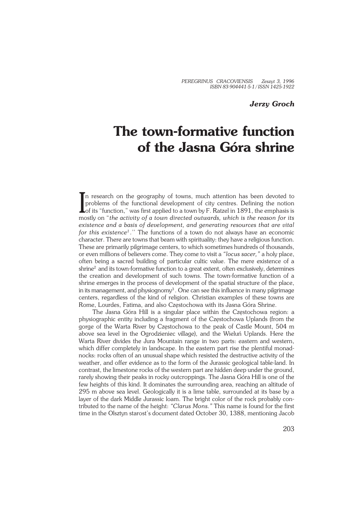# *Jerzy Groch*

# **The town−formative function of the Jasna Góra shrine**

In research on the geography of towns, much attention has been devoted to problems of the functional development of city centres. Defining the notion of its "function," was first applied to a town by F. Ratzel in 1891, th In research on the geography of towns, much attention has been devoted to problems of the functional development of city centres. Defining the notion mostly on "*the activity of a town directed outwards, which is the reason for its existence and a basis of development, and generating resources that are vital for this existence<sup>1</sup> .*'' The functions of a town do not always have an economic character. There are towns that beam with spirituality: they have a religious function. These are primarily pilgrimage centers, to which sometimes hundreds of thousands, or even millions of believers come. They come to visit a *"locus sacer,"* a holy place, often being a sacred building of particular cultic value. The mere existence of a shrine<sup>2</sup> and its town-formative function to a great extent, often exclusively, determines the creation and development of such towns. The town−formative function of a shrine emerges in the process of development of the spatial structure of the place, in its management, and physiognomy $^3$  . One can see this influence in many pilgrimage centers, regardless of the kind of religion. Christian examples of these towns are Rome, Lourdes, Fatima, and also Częstochowa with its Jasna Góra Shrine.

The Jasna Góra Hill is a singular place within the Częstochowa region: a physiographic entity including a fragment of the Częstochowa Uplands (from the gorge of the Warta River by Częstochowa to the peak of Castle Mount, 504 m above sea level in the Ogrodzieniec village), and the Wieluń Uplands. Here the Warta River divides the Jura Mountain range in two parts: eastern and western, which differ completely in landscape. In the eastern part rise the plentiful monad− nocks: rocks often of an unusual shape which resisted the destructive activity of the weather, and offer evidence as to the form of the Jurassic geological table−land. In contrast, the limestone rocks of the western part are hidden deep under the ground, rarely showing their peaks in rocky outcroppings. The Jasna Góra Hill is one of the few heights of this kind. It dominates the surrounding area, reaching an altitude of 295 m above sea level. Geologically it is a lime table, surrounded at its base by a layer of the dark Middle Jurassic loam. The bright color of the rock probably con− tributed to the name of the height: *"Clarus Mons."* This name is found for the first time in the Olsztyn starost's document dated October 30, 1388, mentioning Jacob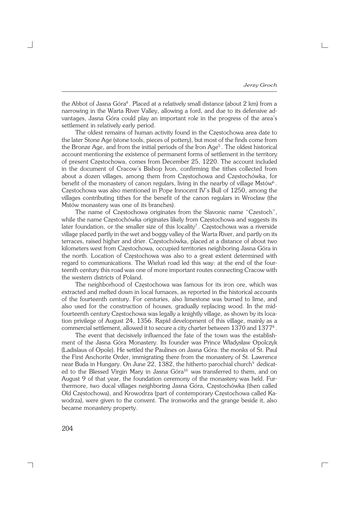$\Gamma$ 

the Abbot of Jasna Góra<sup>4</sup> . Placed at a relatively small distance (about 2 km) from a narrowing in the Warta River Valley, allowing a ford, and due to its defensive advantages, Jasna Góra could play an important role in the progress of the area's settlement in relatively early period.

The oldest remains of human activity found in the Częstochowa area date to the later Stone Age (stone tools, pieces of pottery), but most of the finds come from the Bronze Age, and from the initial periods of the Iron Age<sup>5</sup>. The oldest historical account mentioning the existence of permanent forms of settlement in the territory of present Częstochowa, comes from December 25, 1220. The account included in the document of Cracow's Bishop Ivon, confirming the tithes collected from about a dozen villages, among them from Częstochowa and Częstochówka, for benefit of the monastery of canon regulars, living in the nearby of village  $\textsf{Mstów}^6$  . Częstochowa was also mentioned in Pope Innocent IV's Bull of 1250, among the villages contributing tithes for the benefit of the canon regulars in Wrocław (the Mstów monastery was one of its branches).

The name of Częstochowa originates from the Slavonic name "Czestoch", while the name Częstochówka originates likely from Częstochowa and suggests its later foundation, or the smaller size of this locality<sup>7</sup>. Częstochowa was a riverside village placed partly in the wet and boggy valley of the Warta River, and partly on its terraces, raised higher and drier. Częstochówka, placed at a distance of about two kilometers west from Częstochowa, occupied territories neighboring Jasna Góra in the north. Location of Częstochowa was also to a great extent determined with regard to communications. The Wieluń road led this way: at the end of the four− teenth century this road was one of more important routes connecting Cracow with the western districts of Poland.

The neighborhood of Częstochowa was famous for its iron ore, which was extracted and melted down in local furnaces, as reported in the historical accounts of the fourteenth century. For centuries, also limestone was burned to lime, and also used for the construction of houses, gradually replacing wood. In the mid− fourteenth century Częstochowa was legally a knightly village, as shown by its loca− tion privilege of August 24, 1356. Rapid development of this village, mainly as a commercial settlement, allowed it to secure a city charter between  $1370$  and  $1377^{\rm s}$  .

The event that decisively influenced the fate of the town was the establish− ment of the Jasna Góra Monastery. Its founder was Prince Władysław Opolczyk (Ladislaus of Opole). He settled the Paulines on Jasna Góra: the monks of St. Paul the First Anchorite Order, immigrating there from the monastery of St. Lawrence near Buda in Hungary. On June 22, 1382, the hitherto parochial church $^9$  dedicated to the Blessed Virgin Mary in Jasna Góra<sup>10</sup> was transferred to them, and on August 9 of that year, the foundation ceremony of the monastery was held. Fur− thermore, two ducal villages neighboring Jasna Góra, Częstochówka (then called Old Częstochowa), and Krowodrza (part of contemporary Częstochowa called Ka− wodrza), were given to the convent. The ironworks and the grange beside it, also became monastery property.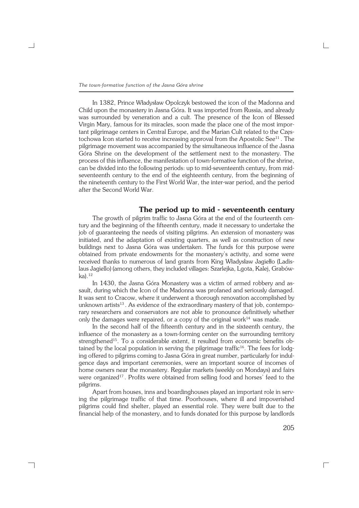In 1382, Prince Władysław Opolczyk bestowed the icon of the Madonna and Child upon the monastery in Jasna Góra. It was imported from Russia, and already was surrounded by veneration and a cult. The presence of the Icon of Blessed Virgin Mary, famous for its miracles, soon made the place one of the most impor− tant pilgrimage centers in Central Europe, and the Marian Cult related to the Częs− tochowa Icon started to receive increasing approval from the Apostolic See $^{11}$ . The pilgrimage movement was accompanied by the simultaneous influence of the Jasna Góra Shrine on the development of the settlement next to the monastery. The process of this influence, the manifestation of town−formative function of the shrine, can be divided into the following periods: up to mid−seventeenth century, from mid− seventeenth century to the end of the eighteenth century, from the beginning of the nineteenth century to the First World War, the inter−war period, and the period after the Second World War.

### **The period up to mid − seventeenth century**

The growth of pilgrim traffic to Jasna Góra at the end of the fourteenth cen− tury and the beginning of the fifteenth century, made it necessary to undertake the job of guaranteeing the needs of visiting pilgrims. An extension of monastery was initiated, and the adaptation of existing quarters, as well as construction of new buildings next to Jasna Góra was undertaken. The funds for this purpose were obtained from private endowments for the monastery's activity, and some were received thanks to numerous of land grants from King Władysław Jagiełło (Ladis− laus Jagiello) (among others, they included villages: Szarlejka, Lgota, Kalej, Grabów− ka).<sup>12</sup>

In 1430, the Jasna Góra Monastery was a victim of armed robbery and as− sault, during which the Icon of the Madonna was profaned and seriously damaged. It was sent to Cracow, where it underwent a thorough renovation accomplished by unknown artists<sup>13</sup>. As evidence of the extraordinary mastery of that job, contemporary researchers and conservators are not able to pronounce definitively whether only the damages were repaired, or a copy of the original work $14$  was made.

In the second half of the fifteenth century and in the sixteenth century, the influence of the monastery as a town−forming center on the surrounding territory strengthened<sup>15</sup>. To a considerable extent, it resulted from economic benefits obtained by the local population in serving the pilgrimage traffic<sup>16</sup>. The fees for lodging offered to pilgrims coming to Jasna Góra in great number, particularly for indul− gence days and important ceremonies, were an important source of incomes of home owners near the monastery. Regular markets (weekly on Mondays) and fairs were organized<sup>17</sup>. Profits were obtained from selling food and horses' feed to the pilgrims.

Apart from houses, inns and boardinghouses played an important role in serv− ing the pilgrimage traffic of that time. Poorhouses, where ill and impoverished pilgrims could find shelter, played an essential role. They were built due to the financial help of the monastery, and to funds donated for this purpose by landlords

┐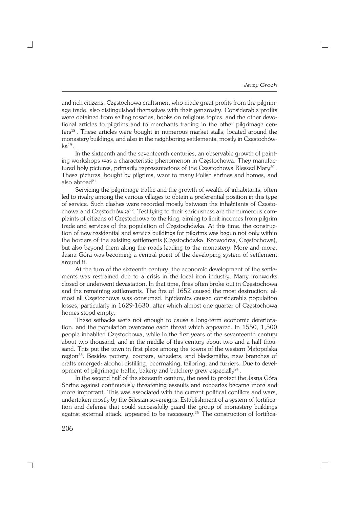and rich citizens. Częstochowa craftsmen, who made great profits from the pilgrim− age trade, also distinguished themselves with their generosity. Considerable profits were obtained from selling rosaries, books on religious topics, and the other devo− tional articles to pilgrims and to merchants trading in the other pilgrimage cen− ters<sup>18</sup> . These articles were bought in numerous market stalls, located around the monastery buildings, and also in the neighboring settlements, mostly in Częstochów−  $\rm ka^{19}$  .

In the sixteenth and the seventeenth centuries, an observable growth of paint− ing workshops was a characteristic phenomenon in Częstochowa. They manufac− tured holy pictures, primarily representations of the Częstochowa Blessed Mary<sup>20</sup>. These pictures, bought by pilgrims, went to many Polish shrines and homes, and also abroad<sup>21</sup>.

Servicing the pilgrimage traffic and the growth of wealth of inhabitants, often led to rivalry among the various villages to obtain a preferential position in this type of service. Such clashes were recorded mostly between the inhabitants of Często− chowa and Częstochówka<sup>22</sup>. Testifying to their seriousness are the numerous com− plaints of citizens of Częstochowa to the king, aiming to limit incomes from pilgrim trade and services of the population of Częstochówka. At this time, the construc− tion of new residential and service buildings for pilgrims was begun not only within the borders of the existing settlements (Częstochówka, Krowodrza, Częstochowa), but also beyond them along the roads leading to the monastery. More and more, Jasna Góra was becoming a central point of the developing system of settlement around it.

At the turn of the sixteenth century, the economic development of the settle− ments was restrained due to a crisis in the local iron industry. Many ironworks closed or underwent devastation. In that time, fires often broke out in Częstochowa and the remaining settlements. The fire of 1652 caused the most destruction; al− most all Częstochowa was consumed. Epidemics caused considerable population losses, particularly in 1629−1630, after which almost one quarter of Częstochowa homes stood empty.

These setbacks were not enough to cause a long−term economic deteriora− tion, and the population overcame each threat which appeared. In 1550, 1,500 people inhabited Częstochowa, while in the first years of the seventeenth century about two thousand, and in the middle of this century about two and a half thou− sand. This put the town in first place among the towns of the western Małopolska region<sup>23</sup>. Besides pottery, coopers, wheelers, and blacksmiths, new branches of crafts emerged: alcohol distilling, beermaking, tailoring, and furriers. Due to devel− opment of pilgrimage traffic, bakery and butchery grew especially<sup>24</sup>.

In the second half of the sixteenth century, the need to protect the Jasna Góra Shrine against continuously threatening assaults and robberies became more and more important. This was associated with the current political conflicts and wars, undertaken mostly by the Silesian sovereigns. Establishment of a system of fortifica− tion and defense that could successfully guard the group of monastery buildings against external attack, appeared to be necessary.25 The construction of fortifica−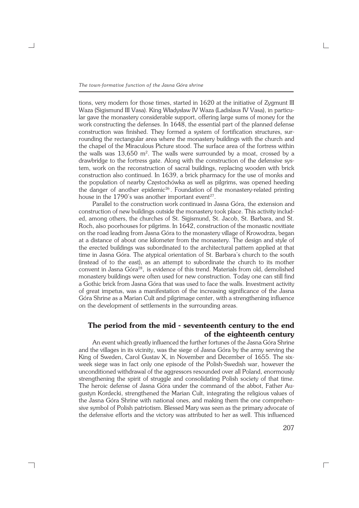*The town−formative function of the Jasna Góra shrine*

tions, very modern for those times, started in 1620 at the initiative of Zygmunt III Waza (Sigismund III Vasa). King Władysław IV Waza (Ladislaus IV Vasa), in particu− lar gave the monastery considerable support, offering large sums of money for the work constructing the defenses. In 1648, the essential part of the planned defense construction was finished. They formed a system of fortification structures, sur− rounding the rectangular area where the monastery buildings with the church and the chapel of the Miraculous Picture stood. The surface area of the fortress within the walls was  $13{,}650$  m<sup>2</sup>. The walls were surrounded by a moat, crossed by a drawbridge to the fortress gate. Along with the construction of the defensive sys− tem, work on the reconstruction of sacral buildings, replacing wooden with brick construction also continued. In 1639, a brick pharmacy for the use of monks and the population of nearby Częstochówka as well as pilgrims, was opened heeding the danger of another epidemic<sup>26</sup>. Foundation of the monastery-related printing house in the  $1790$ 's was another important event<sup>27</sup>.

Parallel to the construction work continued in Jasna Góra, the extension and construction of new buildings outside the monastery took place. This activity includ− ed, among others, the churches of St. Sigismund, St. Jacob, St. Barbara, and St. Roch, also poorhouses for pilgrims. In 1642, construction of the monastic novitiate on the road leading from Jasna Góra to the monastery village of Krowodrza, began at a distance of about one kilometer from the monastery. The design and style of the erected buildings was subordinated to the architectural pattern applied at that time in Jasna Góra. The atypical orientation of St. Barbara's church to the south (instead of to the east), as an attempt to subordinate the church to its mother convent in Jasna Góra<sup>28</sup>, is evidence of this trend. Materials from old, demolished monastery buildings were often used for new construction. Today one can still find a Gothic brick from Jasna Góra that was used to face the walls. Investment activity of great impetus, was a manifestation of the increasing significance of the Jasna Góra Shrine as a Marian Cult and pilgrimage center, with a strengthening influence on the development of settlements in the surrounding areas.

# **The period from the mid − seventeenth century to the end of the eighteenth century**

An event which greatly influenced the further fortunes of the Jasna Góra Shrine and the villages in its vicinity, was the siege of Jasna Góra by the army serving the King of Sweden, Carol Gustav X, in November and December of 1655. The six− week siege was in fact only one episode of the Polish−Swedish war, however the unconditioned withdrawal of the aggressors resounded over all Poland, enormously strengthening the spirit of struggle and consolidating Polish society of that time. The heroic defense of Jasna Góra under the command of the abbot, Father Au− gustyn Kordecki, strengthened the Marian Cult, integrating the religious values of the Jasna Góra Shrine with national ones, and making them the one comprehen− sive symbol of Polish patriotism. Blessed Mary was seen as the primary advocate of the defensive efforts and the victory was attributed to her as well. This influenced

┐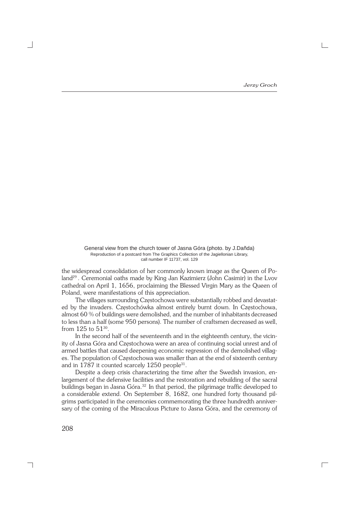General view from the church tower of Jasna Góra (photo. by J.Dañda) Reproduction of a postcard from The Graphics Collection of the Jagiellonian Library, call number IF 11737, vol. 129

the widespread consolidation of her commonly known image as the Queen of Po− land<sup>29</sup> . Ceremonial oaths made by King Jan Kazimierz (John Casimir) in the Lvov cathedral on April 1, 1656, proclaiming the Blessed Virgin Mary as the Queen of Poland, were manifestations of this appreciation.

The villages surrounding Częstochowa were substantially robbed and devastat− ed by the invaders. Częstochówka almost entirely burnt down. In Częstochowa, almost 60 % of buildings were demolished, and the number of inhabitants decreased to less than a half (some 950 persons). The number of craftsmen decreased as well, from  $125$  to  $51^{30}$ .

In the second half of the seventeenth and in the eighteenth century, the vicin− ity of Jasna Góra and Częstochowa were an area of continuing social unrest and of armed battles that caused deepening economic regression of the demolished villag− es. The population of Częstochowa was smaller than at the end of sixteenth century and in 1787 it counted scarcely 1250 people<sup>31</sup>.

Despite a deep crisis characterizing the time after the Swedish invasion, en− largement of the defensive facilities and the restoration and rebuilding of the sacral buildings began in Jasna Góra.<sup>32</sup> In that period, the pilgrimage traffic developed to a considerable extend. On September 8, 1682, one hundred forty thousand pil− grims participated in the ceremonies commemorating the three hundredth anniver− sary of the coming of the Miraculous Picture to Jasna Góra, and the ceremony of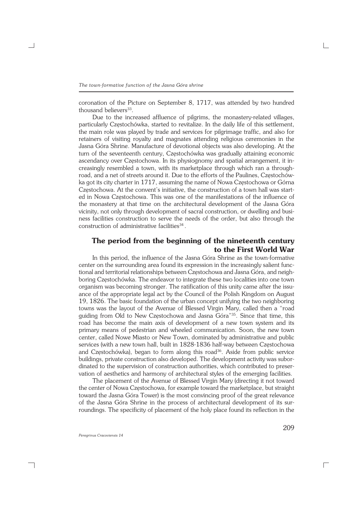coronation of the Picture on September 8, 1717, was attended by two hundred thousand believers<sup>33</sup>.

Due to the increased affluence of pilgrims, the monastery−related villages, particularly Częstochówka, started to revitalize. In the daily life of this settlement, the main role was played by trade and services for pilgrimage traffic, and also for retainers of visiting royalty and magnates attending religious ceremonies in the Jasna Góra Shrine. Manufacture of devotional objects was also developing. At the turn of the seventeenth century, Częstochówka was gradually attaining economic ascendancy over Częstochowa. In its physiognomy and spatial arrangement, it in− creasingly resembled a town, with its marketplace through which ran a through− road, and a net of streets around it. Due to the efforts of the Paulines, Częstochów− ka got its city charter in 1717, assuming the name of Nowa Częstochowa or Górna Częstochowa. At the convent's initiative, the construction of a town hall was start− ed in Nowa Częstochowa. This was one of the manifestations of the influence of the monastery at that time on the architectural development of the Jasna Góra vicinity, not only through development of sacral construction, or dwelling and busi− ness facilities construction to serve the needs of the order, but also through the construction of administrative facilities<sup>34</sup>.

## **The period from the beginning of the nineteenth century to the First World War**

In this period, the influence of the Jasna Góra Shrine as the town−formative center on the surrounding area found its expression in the increasingly salient func− tional and territorial relationships between Częstochowa and Jasna Góra, and neigh− boring Częstochówka. The endeavor to integrate these two localities into one town organism was becoming stronger. The ratification of this unity came after the issu− ance of the appropriate legal act by the Council of the Polish Kingdom on August 19, 1826. The basic foundation of the urban concept unifying the two neighboring towns was the layout of the Avenue of Blessed Virgin Mary, called then a "road guiding from Old to New Częstochowa and Jasna Góra"<sup>35</sup>. Since that time, this road has become the main axis of development of a new town system and its primary means of pedestrian and wheeled communication. Soon, the new town center, called Nowe Miasto or New Town, dominated by administrative and public services (with a new town hall, built in 1828−1836 half−way between Częstochowa and Częstochówka), began to form along this road<sup>36</sup>. Aside from public service buildings, private construction also developed. The development activity was subor− dinated to the supervision of construction authorities, which contributed to preser− vation of aesthetics and harmony of architectural styles of the emerging facilities.

The placement of the Avenue of Blessed Virgin Mary (directing it not toward the center of Nowa Częstochowa, for example toward the marketplace, but straight toward the Jasna Góra Tower) is the most convincing proof of the great relevance of the Jasna Góra Shrine in the process of architectural development of its sur− roundings. The specificity of placement of the holy place found its reflection in the

┐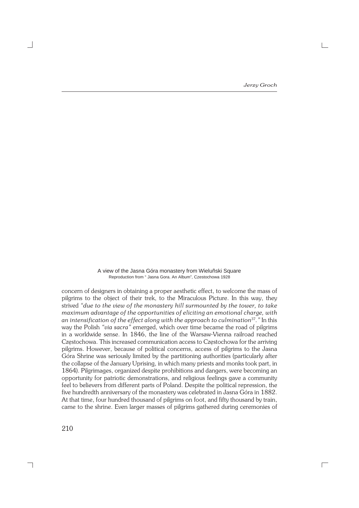A view of the Jasna Góra monastery from Wieluñski Square Reproduction from " Jasna Gora. An Album", Czestochowa 1928

concern of designers in obtaining a proper aesthetic effect, to welcome the mass of pilgrims to the object of their trek, to the Miraculous Picture. In this way, they strived *"due to the view of the monastery hill surmounted by the tower, to take maximum advantage of the opportunities of eliciting an emotional charge, with an intensification of the effect along with the approach to culmination*<sup>37</sup>*."* In this way the Polish *"via sacra"* emerged, which over time became the road of pilgrims in a worldwide sense. In 1846, the line of the Warsaw−Vienna railroad reached Częstochowa. This increased communication access to Częstochowa for the arriving pilgrims. However, because of political concerns, access of pilgrims to the Jasna Góra Shrine was seriously limited by the partitioning authorities (particularly after the collapse of the January Uprising, in which many priests and monks took part, in 1864). Pilgrimages, organized despite prohibitions and dangers, were becoming an opportunity for patriotic demonstrations, and religious feelings gave a community feel to believers from different parts of Poland. Despite the political repression, the five hundredth anniversary of the monastery was celebrated in Jasna Góra in 1882. At that time, four hundred thousand of pilgrims on foot, and fifty thousand by train, came to the shrine. Even larger masses of pilgrims gathered during ceremonies of

210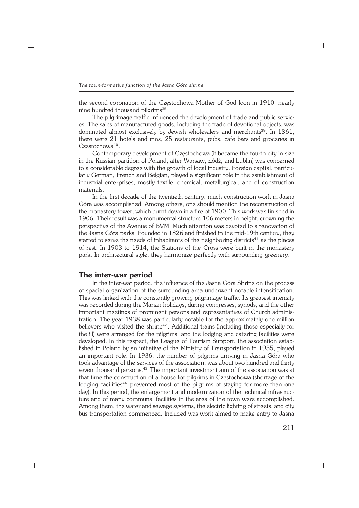the second coronation of the Częstochowa Mother of God Icon in 1910: nearly nine hundred thousand pilgrims<sup>38</sup>.

The pilgrimage traffic influenced the development of trade and public servic− es. The sales of manufactured goods, including the trade of devotional objects, was dominated almost exclusively by Jewish wholesalers and merchants<sup>39</sup>. In 1861, there were 21 hotels and inns, 25 restaurants, pubs, cafe bars and groceries in Częstochowa<sup>40</sup>.

Contemporary development of Częstochowa (it became the fourth city in size in the Russian partition of Poland, after Warsaw, Łódź, and Lublin) was concerned to a considerable degree with the growth of local industry. Foreign capital, particu− larly German, French and Belgian, played a significant role in the establishment of industrial enterprises, mostly textile, chemical, metallurgical, and of construction materials.

In the first decade of the twentieth century, much construction work in Jasna Góra was accomplished. Among others, one should mention the reconstruction of the monastery tower, which burnt down in a fire of 1900. This work was finished in 1906. Their result was a monumental structure 106 meters in height, crowning the perspective of the Avenue of BVM. Much attention was devoted to a renovation of the Jasna Góra parks. Founded in 1826 and finished in the mid−19th century, they started to serve the needs of inhabitants of the neighboring districts<sup>41</sup> as the places of rest. In 1903 to 1914, the Stations of the Cross were built in the monastery park. In architectural style, they harmonize perfectly with surrounding greenery.

#### **The inter−war period**

┐

In the inter−war period, the influence of the Jasna Góra Shrine on the process of spacial organization of the surrounding area underwent notable intensification. This was linked with the constantly growing pilgrimage traffic. Its greatest intensity was recorded during the Marian holidays, during congresses, synods, and the other important meetings of prominent persons and representatives of Church adminis− tration. The year 1938 was particularly notable for the approximately one million believers who visited the shrine<sup>42</sup>. Additional trains (including those especially for the ill) were arranged for the pilgrims, and the lodging and catering facilities were developed. In this respect, the League of Tourism Support, the association estab− lished in Poland by an initiative of the Ministry of Transportation in 1935, played an important role. In 1936, the number of pilgrims arriving in Jasna Góra who took advantage of the services of the association, was about two hundred and thirty seven thousand persons.<sup>43</sup> The important investment aim of the association was at that time the construction of a house for pilgrims in Częstochowa (shortage of the lodging facilities<sup>44</sup> prevented most of the pilgrims of staying for more than one day). In this period, the enlargement and modernization of the technical infrastruc− ture and of many communal facilities in the area of the town were accomplished. Among them, the water and sewage systems, the electric lighting of streets, and city bus transportation commenced. Included was work aimed to make entry to Jasna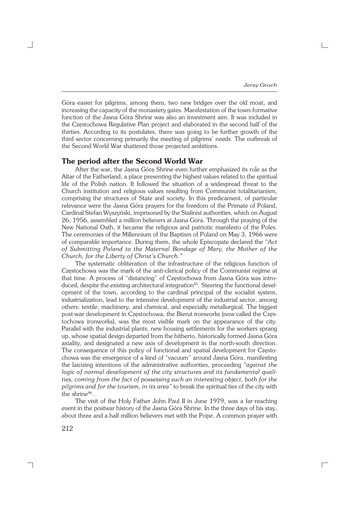Góra easier for pilgrims, among them, two new bridges over the old moat, and increasing the capacity of the monastery gates. Manifestation of the town−formative function of the Jasna Góra Shrine was also an investment aim. It was included in the Częstochowa Regulative Plan project and elaborated in the second half of the thirties. According to its postulates, there was going to be further growth of the third sector concerning primarily the meeting of pilgrims' needs. The outbreak of the Second World War shattered those projected ambitions.

#### **The period after the Second World War**

After the war, the Jasna Góra Shrine even further emphasized its role as the Altar of the Fatherland, a place presenting the highest values related to the spiritual life of the Polish nation. It followed the situation of a widespread threat to the Church institution and religious values resulting from Communist totalitarianism, comprising the structures of State and society. In this predicament, of particular relevance were the Jasna Góra prayers for the freedom of the Primate of Poland, Cardinal Stefan Wyszyński, imprisoned by the Stalinist authorities, which on August 26, 1956, assembled a million believers at Jasna Góra. Through the praying of the New National Oath, it became the religious and patriotic manifesto of the Poles. The ceremonies of the Millennium of the Baptism of Poland on May 3, 1966 were of comparable importance. During them, the whole Episcopate declared the *"Act of Submitting Poland to the Maternal Bondage of Mary, the Mother of the Church, for the Liberty of Christ's Church."*

The systematic obliteration of the infrastructure of the religious function of Częstochowa was the mark of the anti−clerical policy of the Communist regime at that time. A process of "distancing" of Częstochowa from Jasna Góra was intro− duced, despite the existing architectural integration<sup>45</sup>. Steering the functional devel− opment of the town, according to the cardinal principal of the socialist system, industrialization, lead to the intensive development of the industrial sector, among others: textile, machinery, and chemical, and especially metallurgical. The biggest post−war development in Częstochowa, the Bierut ironworks (now called the Częs− tochowa ironworks), was the most visible mark on the appearance of the city. Parallel with the industrial plants, new housing settlements for the workers sprang up, whose spatial design departed from the hitherto, historically formed Jasna Góra axiality, and designated a new axis of development in the north−south direction. The consequence of this policy of functional and spatial development for Często− chowa was the emergence of a kind of "vacuum" around Jasna Góra, manifesting the laicizing intentions of the administrative authorities, proceeding *"against the logic of normal development of the city structures and its fundamental quali− ties, coming from the fact of possessing such an interesting object, both for the pilgrims and for the tourism, in its area"* to break the spiritual ties of the city with the shrine<sup>46</sup>.

The visit of the Holy Father John Paul II in June 1979, was a far−reaching event in the postwar history of the Jasna Góra Shrine. In the three days of his stay, about three and a half million believers met with the Pope. A common prayer with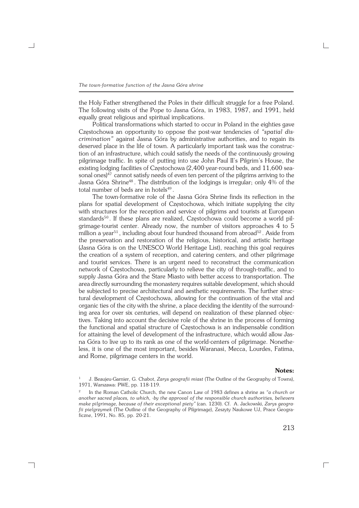the Holy Father strengthened the Poles in their difficult struggle for a free Poland. The following visits of the Pope to Jasna Góra, in 1983, 1987, and 1991, held equally great religious and spiritual implications.

Political transformations which started to occur in Poland in the eighties gave Częstochowa an opportunity to oppose the post−war tendencies of *"spatial dis− crimination"* against Jasna Góra by administrative authorities, and to regain its deserved place in the life of town. A particularly important task was the construc− tion of an infrastructure, which could satisfy the needs of the continuously growing pilgrimage traffic. In spite of putting into use John Paul II's Pilgrim's House, the existing lodging facilities of Częstochowa (2,400 year−round beds, and 11,600 sea− sonal ones) $47$  cannot satisfy needs of even ten percent of the pilgrims arriving to the Jasna Góra Shrine<sup>48</sup> . The distribution of the lodgings is irregular; only 4% of the total number of beds are in hotels<sup>49</sup>.

The town−formative role of the Jasna Góra Shrine finds its reflection in the plans for spatial development of Częstochowa, which initiate supplying the city with structures for the reception and service of pilgrims and tourists at European standards<sup>50</sup>. If these plans are realized, Częstochowa could become a world pilgrimage-tourist center. Already now, the number of visitors approaches 4 to 5 million a year<sup>51</sup>, including about four hundred thousand from abroad<sup>52</sup>. Aside from the preservation and restoration of the religious, historical, and artistic heritage (Jasna Góra is on the UNESCO World Heritage List), reaching this goal requires the creation of a system of reception, and catering centers, and other pilgrimage and tourist services. There is an urgent need to reconstruct the communication network of Częstochowa, particularly to relieve the city of through−traffic, and to supply Jasna Góra and the Stare Miasto with better access to transportation. The area directly surrounding the monastery requires suitable development, which should be subjected to precise architectural and aesthetic requirements. The further struc− tural development of Częstochowa, allowing for the continuation of the vital and organic ties of the city with the shrine, a place deciding the identity of the surround− ing area for over six centuries, will depend on realization of these planned objec− tives. Taking into account the decisive role of the shrine in the process of forming the functional and spatial structure of Częstochowa is an indispensable condition for attaining the level of development of the infrastructure, which would allow Jas− na Góra to live up to its rank as one of the world−centers of pilgrimage. Nonethe− less, it is one of the most important, besides Waranasi, Mecca, Lourdes, Fatima, and Rome, pilgrimage centers in the world.

#### **Notes:**

<sup>1</sup> J. Beaujeu−Garnier, G. Chabot, *Zarys geografii miast* (The Outline of the Geography of Towns), 1971, Warszawa: PWE, pp. 118−119.

<sup>2</sup> In the Roman Catholic Church, the new Canon Law of 1983 defines a shrine as *"a church or another sacred places, to which, −by the approval of the responsible church authorities, believers make pilgrimage, because of their exceptional piety"* (can. 1230). Cf. A. Jackowski, *Zarys geogra− fii pielgrzymek* (The Outline of the Geography of Pilgrimage), Zeszyty Naukowe UJ, Prace Geogra− ficzne, 1991, No. 85, pp. 20−21.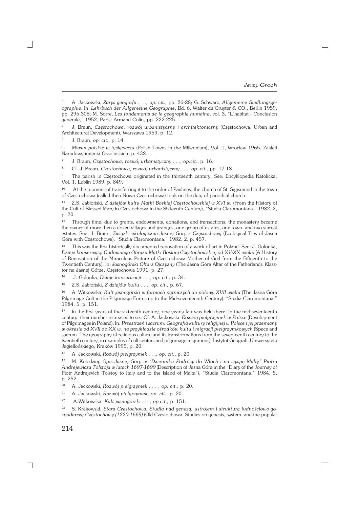$\Gamma$ 

<sup>3</sup> A. Jackowski, *Zarys geografii . . ., op. cit.,* pp. 26−28; G. Schwarz, *Allgemeine Siedlungsge− ographie*. In: *Lehrbuch der Allgemeine Geographie*, Bd. 6, Walter de Gruyter & CO., Berlin 1959, pp. 295−308; M. Sorre, *Les fondements de la geographie humaine*, vol. 3, "L'habitat − Conclusion generale," 1952, Paris: Armand Colin, pp. 222−225.

<sup>4</sup> J. Braun, *Częstochowa, rozwój urbanistyczny i architektoniczny* (Częstochowa. Urban and Architectural Development), Warszawa 1959, p. 12.

<sup>5</sup> J. Braun, *op. cit.,* p. 14.

<sup>6</sup> *Miasta polskie w tysiącleciu* (Polish Towns in the Millennium), Vol. 1, Wrocław 1965, Zakład Narodowy imienia Ossolińskich, p. 432.

<sup>7</sup> J. Braun, *Częstochowa, rozwój urbanistyczny . . ., op.cit.*, p. 16.

<sup>8</sup> Cf. J. Braun, *Częstochowa, rozwój urbanistyczny . . ., op. cit.*, pp. 17−18.

<sup>9</sup> The parish in Częstochowa originated in the thirteenth century. See: Encyklopedia Katolicka, Vol. 1, Lublin 1989, p. 849.

<sup>10</sup> At the moment of transferring it to the order of Paulines, the church of St. Sigismund in the town of Częstochowa (called then Nowa Częstochowa) took on the duty of parochial church.

<sup>11</sup> Z.S. Jabłoński, *Z dziejów kultu Matki Boskiej Częstochowskiej w XVI w.* (From the History of the Cult of Blessed Mary in Częstochowa in the Sixteenth Century), "Studia Claromontana," 1982, 2, p. 20.

<sup>12</sup> Through time, due to grants, endowments, donations, and transactions, the monastery became the owner of more then a dozen villages and granges, one group of estates, one town, and two starost estates. See, J. Braun, *Związki ekologiczne Jasnej Góry z Częstochową* (Ecological Ties of Jasna Góra with Częstochowa), "Studia Claromontana," 1982, 2, p. 457.

<sup>13</sup> This was the first historically documented renovation of a work of art in Poland. See: J. Golonka, *Dzieje konserwacji Cudownego Obrazu Matki Boskiej Częstochowskiej od XV−XX wieku* (A History of Renovation of the Miraculous Picture of Częstochowa Mother of God from the Fifteenth to the Twentieth Century), In: *Jasnogórski Ołtarz Ojczyzny* (The Jasna Góra Altar of the Fatherland). Klasz− tor na Jasnej Górze, Częstochowa 1991, p. 27.

<sup>14</sup> J. Golonka, *Dzieje konserwacji . . ., op. cit.*, p. 34.

<sup>15</sup> Z.S. Jabłoński, *Z dziejów kultu . . ., op. cit.,* p. 67.

<sup>16</sup> A. Witkowska, *Kult jasnogórski w formach pątniczych do połowy XVII wieku* (The Jasna Góra Pilgrimage Cult in the Pilgrimage Forms up to the Mid−seventeenth Century), "Studia Claromontana," 1984, 5, p. 151.

<sup>17</sup> In the first years of the sixteenth century, one yearly fair was held there. In the mid−seventeenth century, their number increased to six. Cf. A. Jackowski, *Rozwój pielgrzymek w Polsce* (Development of Pilgrimages in Poland), In: *Przestrzeń i sacrum. Geografia kultury religijnej w Polsce i jej przemiany w okresie od XVII do XX w. na przykładzie ośrodków kultu i migracji pielgrzymkowych* (Space and sacrum. The geography of religious culture and its transformations from the seventeenth century to the twentieth century, in examples of cult centers and pilgrimage migrations). Instytut Geografii Uniwersytetu Jagiellońskiego, Kraków 1995, p. 20.

<sup>18</sup> A. Jackowski, *Rozwój pielgrzymek . . ., op. cit.,* p. 20.

<sup>19</sup> M. Kołodziej, *Opis Jasnej Góry w "Dzienniku Podróży do Włoch i na wyspę Maltę" Piotra Andrejewicza Tołstoja w latach 1697−1699* (Description of Jasna Góra in the "Diary of the Journey of Piotr Andrejevich Tolstoy to Italy and to the Island of Malta"), "Studia Claromontana," 1984, 5, p.252.

<sup>20</sup> A. Jackowski, *Rozwój pielgrzymek . . . , op. cit.*, p. 20.

<sup>21</sup> A. Jackowski, *Rozwój pielgrzymek, op. cit.,* p. 20.

<sup>22</sup> A.Witkowska, *Kult jasnogórski . . ., op.cit.,* p. 151.

<sup>23</sup> S. Krakowski, *Stara Częstochowa. Studia nad genezą, ustrojem i strukturą ludnościowo−go− spodarczą Częstochowy (1220−1665)* (Old Częstochowa. Studies on genesis, system, and the popula−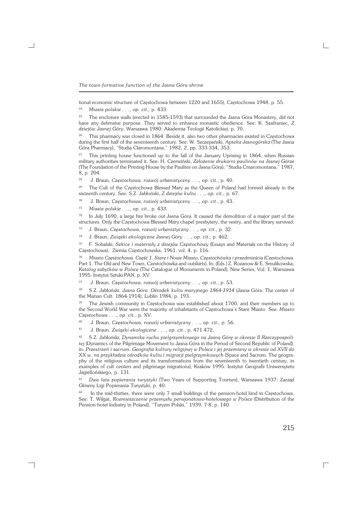*The town−formative function of the Jasna Góra shrine*

tional−economic structure of Częstochowa between 1220 and 1655), Częstochowa 1948, p. 55.

<sup>24</sup> *Miasta polskie . . ., op. cit.,* p. 433.

<sup>25</sup> The enclosure walls (erected in 1585−1593) that surrounded the Jasna Góra Monastery, did not have any defensive purpose. They served to enhance monastic obedience. See: K. Szafraniec, *Z dziejów Jasnej Góry*, Warszawa 1980: Akademia Teologii Katolickiej, p. 70.

<sup>26</sup> This pharmacy was closed in 1864. Beside it, also two other pharmacies existed in Częstochowa during the first half of the seventeenth century. See: W. Szczepański, *Apteka Jasnogórska* (The Jasna Góra Pharmacy), "Studia Claromontana," 1982, 2, pp. 333−334, 353.

<sup>27</sup> This printing house functioned up to the fall of the January Uprising in 1864, when Russian military authorities terminated it. See: H. Czerwiński, *Założenie drukarni paulinów na Jasnej Górze* (The Foundation of the Printing House by the Paulites on Jasna Góra), "Studia Cmaromontana," 1987, 8, p. 204.

<sup>28</sup> J. Braun, *Częstochowa, rozwój urbanistyczny . . ., op. cit.,* p. 40.

<sup>29</sup> The Cult of the Częstochowa Blessed Mary as the Queen of Poland had formed already in the sixteenth century. See: S.Z. Jabłoński, *Z dziejów kultu . . ., op. cit.,* p. 67.

<sup>30</sup> J. Braun, *Częstochowa, rozwój urbanistyczny . . ., op. cit.,* p. 43.

<sup>31</sup> *Miasta polskie . . ., op. cit.,* p. 433.

<sup>32</sup> In July 1690, a large fire broke out Jasna Góra. It caused the demolition of a major part of the structures. Only the Częstochowa Blessed Mary chapel presbytery, the vestry, and the library survived.

<sup>33</sup> J. Braun, *Częstochowa, rozwój urbanistyczny . . ., op. cit.,* p. 32.

<sup>34</sup> J. Braun, *Związki ekologiczne Jasnej Góry . . ., op. cit.,* p. 462.

<sup>35</sup> F. Sobalski, *Szkice i materiały z dziejów Częstochowy* (Essays and Materials on the History of Częstochowa), Ziemia Częstochowska, 1961, vol. 4, p. 116.

<sup>36</sup> *Miasto Częstochowa. Część 1. Stare i Nowe Miasto, Częstochówka i przedmieścia* (Częstochowa. Part 1. The Old and New Town, Czestochówka and outskirts), In: (Eds.) Z. Rozanow & E. Smulikowska, *Katalog zabytków w Polsce* (The Catalogue of Monuments in Poland), New Series, Vol. 1, Warszawa 1995: Instytut Sztuki PAN, p. XV.

<sup>37</sup> J. Braun, *Częstochowa, rozwój urbanistyczny . . ., op. cit.,* p. 53.

<sup>38</sup> S.Z. Jabłoński, *Jasna Góra. Ośrodek kultu maryjnego 1864−1914* (Jasna Góra. The center of the Marian Cult: 1864−1914), Lublin 1984, p. 193.

<sup>39</sup> The Jewish community in Czestochowa was established about 1700, and their members up to the Second World War were the majority of inhabitants of Częstochowa's Stare Miasto. See: *Miasto Częstochowa . . ., op. cit.*, p. XV.

<sup>40</sup> J. Braun, *Częstochowa, rozwój urbanistyczny . . ., op. cit.,* p. 56.

<sup>41</sup> J. Braun, *Związki ekologiczne . . ., op. cit.*, p. 471−472.

┑

<sup>42</sup> S.Z. Jabłoński, *Dynamika ruchu pielgrzymkowego na Jasną Górę w okresie II Rzeczypospoli− tej* (Dynamics of the Pilgrimage Movement to Jasna Góra in the Period of Second Republic of Poland). in: *Przestrzeń i sacrum. Geografia kultury religijnej w Polsce i jej przemiany w okresie od XVII do XX w. na przykładzie ośrodków kultu i migracji pielgrzymkowych* (Space and Sacrum. The geogra− phy of the religious culture and its transformations from the seventeenth to twentieth century, in examples of cult centers and pilgrimage migrations), Kraków 1995: Instytut Geografii Uniwersytetu Jagiellońskiego, p. 131.

<sup>43</sup> *Dwa lata popierania turystyki* (Two Years of Supporting Tourism), Warszawa 1937: Zarząd Główny Ligi Popierania Turystyki, p. 40.

<sup>44</sup> In the mid−thirties, there were only 7 small buildings of the pension−hotel kind in Częstochowa. See: T. Wilgat, *Rozmieszczenie przemysłu pensjonatowo−hotelowego w Polsce* (Distribution of the Pension−hotel Industry in Poland), "Turyzm Polski," 1939, 7−8, p. 140.